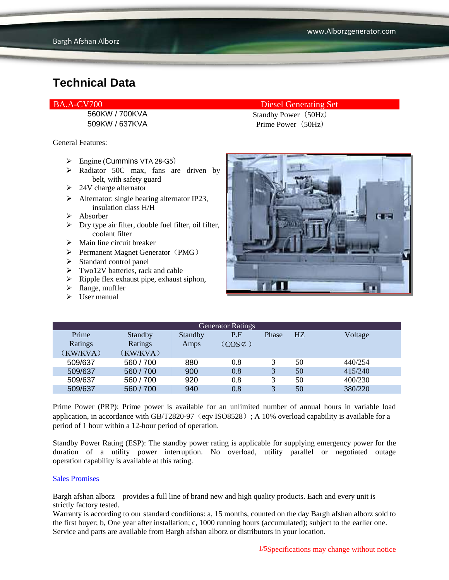560KW / 700KVA Standby Power (50Hz)

General Features:

- $\triangleright$  Engine (Cummins VTA 28-G5)
- > Radiator 50C max, fans are driven by belt, with safety guard
- $\geq 24V$  charge alternator
- $\triangleright$  Alternator: single bearing alternator IP23, insulation class H/H
- Absorber
- $\triangleright$  Dry type air filter, double fuel filter, oil filter, coolant filter
- $\triangleright$  Main line circuit breaker
- $\triangleright$  Permanent Magnet Generator (PMG)
- > Standard control panel
- $\triangleright$  Two12V batteries, rack and cable
- $\triangleright$  Ripple flex exhaust pipe, exhaust siphon,
- $\blacktriangleright$  flange, muffler
- $\triangleright$  User manual

BA.A-CV700 Diesel Generating Set

509KW / 637KVA Prime Power (50Hz)



| <b>Generator Ratings</b> |                |                |                     |              |    |         |
|--------------------------|----------------|----------------|---------------------|--------------|----|---------|
| Prime                    | <b>Standby</b> | <b>Standby</b> | P.F                 | Phase        | HZ | Voltage |
| Ratings                  | Ratings        | Amps           | $(COS \mathcal{L})$ |              |    |         |
| (KW/KVA)                 | (KW/KVA)       |                |                     |              |    |         |
| 509/637                  | 560/700        | 880            | 0.8                 | 3            | 50 | 440/254 |
| 509/637                  | 560 / 700      | 900            | 0.8                 | 3            | 50 | 415/240 |
| 509/637                  | 560/700        | 920            | 0.8                 | 3            | 50 | 400/230 |
| 509/637                  | 560 / 700      | 940            | 0.8                 | $\mathbf{R}$ | 50 | 380/220 |

Prime Power (PRP): Prime power is available for an unlimited number of annual hours in variable load application, in accordance with GB/T2820-97 (eqv ISO8528); A 10% overload capability is available for a period of 1 hour within a 12-hour period of operation.

Standby Power Rating (ESP): The standby power rating is applicable for supplying emergency power for the duration of a utility power interruption. No overload, utility parallel or negotiated outage operation capability is available at this rating.

#### Sales Promises

Bargh afshan alborz provides a full line of brand new and high quality products. Each and every unit is strictly factory tested.

Warranty is according to our standard conditions: a, 15 months, counted on the day Bargh afshan alborz sold to the first buyer; b, One year after installation; c, 1000 running hours (accumulated); subject to the earlier one. Service and parts are available from Bargh afshan alborz or distributors in your location.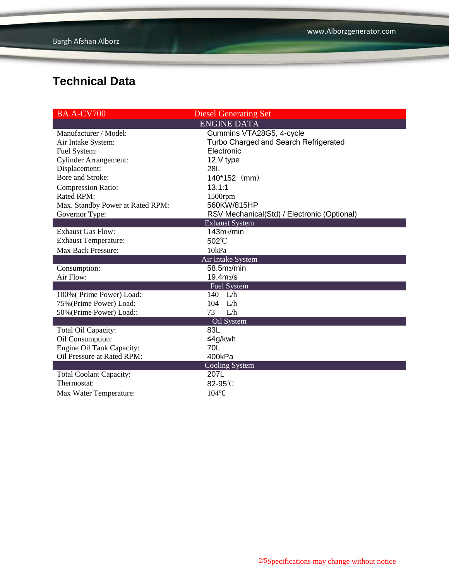| <b>BA.A-CV700</b>                | <b>Diesel Generating Set</b>                |  |  |  |
|----------------------------------|---------------------------------------------|--|--|--|
| <b>ENGINE DATA</b>               |                                             |  |  |  |
| Manufacturer / Model:            | Cummins VTA28G5, 4-cycle                    |  |  |  |
| Air Intake System:               | Turbo Charged and Search Refrigerated       |  |  |  |
| Fuel System:                     | Electronic                                  |  |  |  |
| <b>Cylinder Arrangement:</b>     | 12 V type                                   |  |  |  |
| Displacement:                    | 28L                                         |  |  |  |
| Bore and Stroke:                 | $140*152$ (mm)                              |  |  |  |
| <b>Compression Ratio:</b>        | 13.1:1                                      |  |  |  |
| Rated RPM:                       | $1500$ rpm                                  |  |  |  |
| Max. Standby Power at Rated RPM: | 560KW/815HP                                 |  |  |  |
| Governor Type:                   | RSV Mechanical(Std) / Electronic (Optional) |  |  |  |
| <b>Exhaust System</b>            |                                             |  |  |  |
| <b>Exhaust Gas Flow:</b>         | 143m <sub>3</sub> /min                      |  |  |  |
| <b>Exhaust Temperature:</b>      | 502°C                                       |  |  |  |
| <b>Max Back Pressure:</b>        | 10kPa                                       |  |  |  |
|                                  | Air Intake System                           |  |  |  |
| Consumption:                     | 58.5m <sub>3</sub> /min                     |  |  |  |
| Air Flow:                        | 19.4 <sub>ms/s</sub>                        |  |  |  |
| Fuel System                      |                                             |  |  |  |
| 100% (Prime Power) Load:         | 140 L/h                                     |  |  |  |
| 75% (Prime Power) Load:          | $104$ L/h                                   |  |  |  |
| 50% (Prime Power) Load::         | 73<br>L/h                                   |  |  |  |
| Oil System                       |                                             |  |  |  |
| Total Oil Capacity:              | 83L                                         |  |  |  |
| Oil Consumption:                 | ≤4g/kwh                                     |  |  |  |
| Engine Oil Tank Capacity:        | 70L                                         |  |  |  |
| Oil Pressure at Rated RPM:       | 400kPa                                      |  |  |  |
| Cooling System                   |                                             |  |  |  |
| <b>Total Coolant Capacity:</b>   | 207L                                        |  |  |  |
| Thermostat:                      | 82-95°C                                     |  |  |  |
| Max Water Temperature:           | 104°C                                       |  |  |  |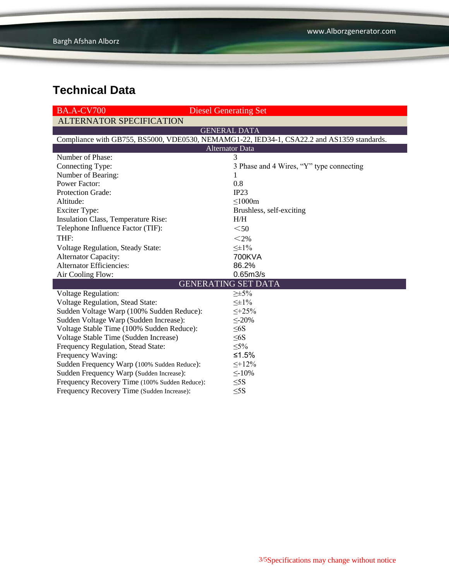| <b>BA.A-CV700</b>                                                                          | <b>Diesel Generating Set</b>             |  |  |  |  |
|--------------------------------------------------------------------------------------------|------------------------------------------|--|--|--|--|
| <b>ALTERNATOR SPECIFICATION</b>                                                            |                                          |  |  |  |  |
| <b>GENERAL DATA</b>                                                                        |                                          |  |  |  |  |
| Compliance with GB755, BS5000, VDE0530, NEMAMG1-22, IED34-1, CSA22.2 and AS1359 standards. |                                          |  |  |  |  |
| <b>Alternator Data</b>                                                                     |                                          |  |  |  |  |
| Number of Phase:                                                                           | 3                                        |  |  |  |  |
| Connecting Type:                                                                           | 3 Phase and 4 Wires, "Y" type connecting |  |  |  |  |
| Number of Bearing:                                                                         | 1                                        |  |  |  |  |
| <b>Power Factor:</b>                                                                       | 0.8                                      |  |  |  |  |
| <b>Protection Grade:</b>                                                                   | IP23                                     |  |  |  |  |
| Altitude:                                                                                  | $\leq$ 1000m                             |  |  |  |  |
| <b>Exciter Type:</b>                                                                       | Brushless, self-exciting                 |  |  |  |  |
| Insulation Class, Temperature Rise:                                                        | H/H                                      |  |  |  |  |
| Telephone Influence Factor (TIF):                                                          | $50$                                     |  |  |  |  |
| THF:                                                                                       | $<$ 2%                                   |  |  |  |  |
| Voltage Regulation, Steady State:                                                          | $\leq \pm 1\%$                           |  |  |  |  |
| <b>Alternator Capacity:</b>                                                                | 700KVA                                   |  |  |  |  |
| <b>Alternator Efficiencies:</b>                                                            | 86.2%                                    |  |  |  |  |
| Air Cooling Flow:                                                                          | 0.65 <sub>m3/s</sub>                     |  |  |  |  |
|                                                                                            | <b>GENERATING SET DATA</b>               |  |  |  |  |
| Voltage Regulation:                                                                        | $\geq \pm 5\%$                           |  |  |  |  |
| Voltage Regulation, Stead State:                                                           | $\leq \pm 1\%$                           |  |  |  |  |
| Sudden Voltage Warp (100% Sudden Reduce):                                                  | $\leq +25\%$                             |  |  |  |  |
| Sudden Voltage Warp (Sudden Increase):                                                     | $\leq$ -20%                              |  |  |  |  |
| Voltage Stable Time (100% Sudden Reduce):                                                  | $\leq 6S$                                |  |  |  |  |
| Voltage Stable Time (Sudden Increase)                                                      | $\leq 6S$                                |  |  |  |  |
| Frequency Regulation, Stead State:                                                         | $\leq 5\%$                               |  |  |  |  |
| Frequency Waving:                                                                          | ≤1.5%                                    |  |  |  |  |
| Sudden Frequency Warp (100% Sudden Reduce):                                                | $\leq +12\%$                             |  |  |  |  |
| Sudden Frequency Warp (Sudden Increase):                                                   | $\leq$ -10%                              |  |  |  |  |
| Frequency Recovery Time (100% Sudden Reduce):                                              | $\leq$ 5S                                |  |  |  |  |
| Frequency Recovery Time (Sudden Increase):                                                 | $\leq$ 5S                                |  |  |  |  |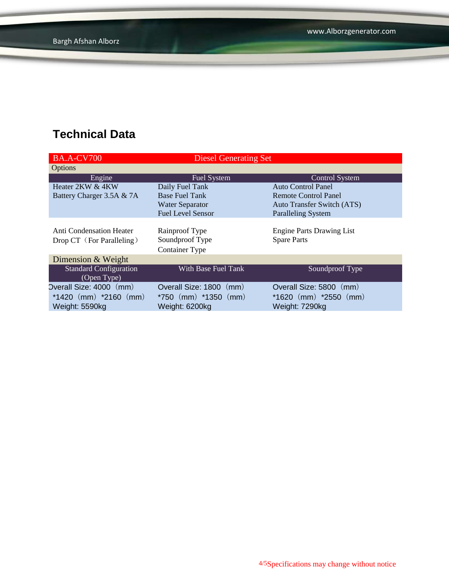| <b>BA.A-CV700</b>               | <b>Diesel Generating Set</b> |                                   |  |
|---------------------------------|------------------------------|-----------------------------------|--|
| <b>Options</b>                  |                              |                                   |  |
| Engine                          | Fuel System                  | <b>Control System</b>             |  |
| Heater 2KW & 4KW                | Daily Fuel Tank              | <b>Auto Control Panel</b>         |  |
| Battery Charger 3.5A & 7A       | <b>Base Fuel Tank</b>        | Remote Control Panel              |  |
|                                 | <b>Water Separator</b>       | <b>Auto Transfer Switch (ATS)</b> |  |
|                                 | <b>Fuel Level Sensor</b>     | <b>Paralleling System</b>         |  |
|                                 |                              |                                   |  |
| <b>Anti Condensation Heater</b> | Rainproof Type               | <b>Engine Parts Drawing List</b>  |  |
| Drop CT (For Paralleling)       | Soundproof Type              | <b>Spare Parts</b>                |  |
|                                 | <b>Container Type</b>        |                                   |  |
| Dimension & Weight              |                              |                                   |  |
| <b>Standard Configuration</b>   | With Base Fuel Tank          | Soundproof Type                   |  |
| (Open Type)                     |                              |                                   |  |
| Overall Size: 4000 (mm)         | Overall Size: 1800 (mm)      | Overall Size: 5800<br>(mm)        |  |
| $*1420$ (mm) $*2160$ (mm)       | $*750$ (mm) $*1350$ (mm)     | $*1620$ (mm) $*2550$ (mm)         |  |
| Weight: 5590kg                  | Weight: 6200kg               | Weight: 7290kg                    |  |